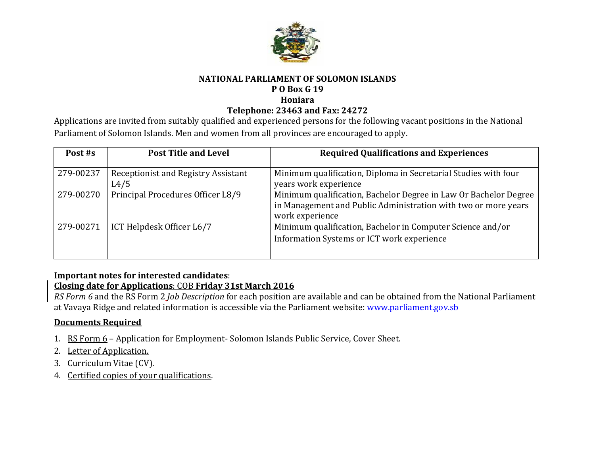

### **NATIONAL PARLIAMENT OF SOLOMON ISLANDS**

## **P O Box G 19**

#### **Honiara**

## **Telephone: 23463 and Fax: 24272**

Applications are invited from suitably qualified and experienced persons for the following vacant positions in the National Parliament of Solomon Islands. Men and women from all provinces are encouraged to apply.

| Post #s   | <b>Post Title and Level</b>                 | <b>Required Qualifications and Experiences</b>                                                                                                        |
|-----------|---------------------------------------------|-------------------------------------------------------------------------------------------------------------------------------------------------------|
| 279-00237 | Receptionist and Registry Assistant<br>L4/5 | Minimum qualification, Diploma in Secretarial Studies with four<br>years work experience                                                              |
| 279-00270 | Principal Procedures Officer L8/9           | Minimum qualification, Bachelor Degree in Law Or Bachelor Degree<br>in Management and Public Administration with two or more years<br>work experience |
| 279-00271 | ICT Helpdesk Officer L6/7                   | Minimum qualification, Bachelor in Computer Science and/or<br>Information Systems or ICT work experience                                              |

# **Important notes for interested candidates**:

# **Closing date for Applications**: COB **Friday 31st March 2016**

*RS Form 6* and the RS Form 2 *Job Description* for each position are available and can be obtained from the National Parliament at Vavaya Ridge and related information is accessible via the Parliament website[: www.parliament.gov.sb](http://www.parliament.gov.sb/)

# **Documents Required**

- 1. RS Form 6 Application for Employment- Solomon Islands Public Service, Cover Sheet.
- 2. Letter of Application.
- 3. Curriculum Vitae (CV).
- 4. Certified copies of your qualifications.